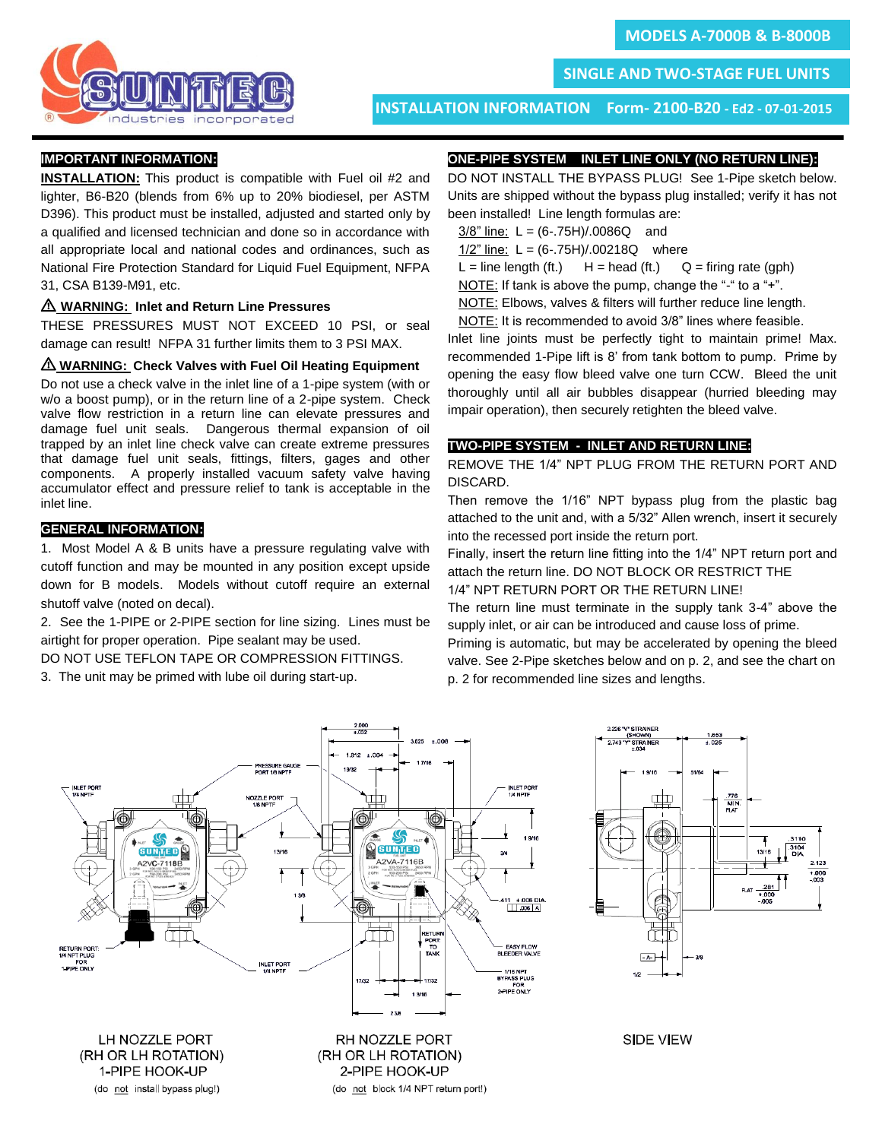

ī **SINGLE AND TWO-STAGE FUEL UNITS**

**INSTALLATION INFORMATION Form- 2100-B20 - Ed2 - 07-01-2015**

ł

## **IMPORTANT INFORMATION:**

**INSTALLATION:** This product is compatible with Fuel oil #2 and lighter, B6-B20 (blends from 6% up to 20% biodiesel, per ASTM D396). This product must be installed, adjusted and started only by a qualified and licensed technician and done so in accordance with all appropriate local and national codes and ordinances, such as National Fire Protection Standard for Liquid Fuel Equipment, NFPA 31, CSA B139-M91, etc.

#### I **WARNING: Inlet and Return Line Pressures**

THESE PRESSURES MUST NOT EXCEED 10 PSI, or seal damage can result! NFPA 31 further limits them to 3 PSI MAX.

#### $\triangle$  WARNING: Check Valves with Fuel Oil Heating Equipment

Do not use a check valve in the inlet line of a 1-pipe system (with or w/o a boost pump), or in the return line of a 2-pipe system. Check valve flow restriction in a return line can elevate pressures and damage fuel unit seals. Dangerous thermal expansion of oil trapped by an inlet line check valve can create extreme pressures that damage fuel unit seals, fittings, filters, gages and other components. A properly installed vacuum safety valve having accumulator effect and pressure relief to tank is acceptable in the inlet line.

# **GENERAL INFORMATION:**

1. Most Model A & B units have a pressure regulating valve with cutoff function and may be mounted in any position except upside down for B models. Models without cutoff require an external shutoff valve (noted on decal).

2. See the 1-PIPE or 2-PIPE section for line sizing. Lines must be airtight for proper operation. Pipe sealant may be used.

DO NOT USE TEFLON TAPE OR COMPRESSION FITTINGS.

3. The unit may be primed with lube oil during start-up.

# **ONE-PIPE SYSTEM INLET LINE ONLY (NO RETURN LINE):**

DO NOT INSTALL THE BYPASS PLUG! See 1-Pipe sketch below. Units are shipped without the bypass plug installed; verify it has not been installed! Line length formulas are:

- $3/8$ " line: L =  $(6-.75H)/.0086Q$  and
- 1/2" line: L = (6-.75H)/.00218Q where
- $L =$  line length (ft.)  $H =$  head (ft.)  $Q =$  firing rate (gph)

NOTE: If tank is above the pump, change the "-" to a "+".

NOTE: Elbows, valves & filters will further reduce line length.

NOTE: It is recommended to avoid 3/8" lines where feasible.

Inlet line joints must be perfectly tight to maintain prime! Max. recommended 1-Pipe lift is 8' from tank bottom to pump. Prime by opening the easy flow bleed valve one turn CCW. Bleed the unit thoroughly until all air bubbles disappear (hurried bleeding may impair operation), then securely retighten the bleed valve.

## **TWO-PIPE SYSTEM - INLET AND RETURN LINE:**

REMOVE THE 1/4" NPT PLUG FROM THE RETURN PORT AND DISCARD.

Then remove the 1/16" NPT bypass plug from the plastic bag attached to the unit and, with a 5/32" Allen wrench, insert it securely into the recessed port inside the return port.

Finally, insert the return line fitting into the 1/4" NPT return port and attach the return line. DO NOT BLOCK OR RESTRICT THE 1/4" NPT RETURN PORT OR THE RETURN LINE!

The return line must terminate in the supply tank 3-4" above the supply inlet, or air can be introduced and cause loss of prime.

Priming is automatic, but may be accelerated by opening the bleed valve. See 2-Pipe sketches below and on p. 2, and see the chart on p. 2 for recommended line sizes and lengths.





**SIDE VIEW**